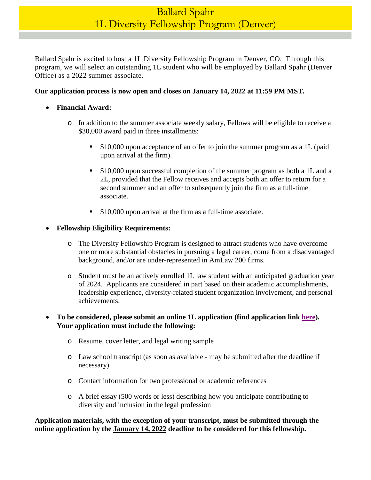Ballard Spahr is excited to host a 1L Diversity Fellowship Program in Denver, CO. Through this program, we will select an outstanding 1L student who will be employed by Ballard Spahr (Denver Office) as a 2022 summer associate.

## **Our application process is now open and closes on January 14, 2022 at 11:59 PM MST.**

- **Financial Award:** 
	- o In addition to the summer associate weekly salary, Fellows will be eligible to receive a \$30,000 award paid in three installments:
		- \$10,000 upon acceptance of an offer to join the summer program as a 1L (paid upon arrival at the firm).
		- \$10,000 upon successful completion of the summer program as both a 1L and a 2L, provided that the Fellow receives and accepts both an offer to return for a second summer and an offer to subsequently join the firm as a full-time associate.
		- **S10,000 upon arrival at the firm as a full-time associate.**

### **Fellowship Eligibility Requirements:**

- o The Diversity Fellowship Program is designed to attract students who have overcome one or more substantial obstacles in pursuing a legal career, come from a disadvantaged background, and/or are under-represented in AmLaw 200 firms.
- o Student must be an actively enrolled 1L law student with an anticipated graduation year of 2024. Applicants are considered in part based on their academic accomplishments, leadership experience, diversity-related student organization involvement, and personal achievements.

## **To be considered, please submit an online 1L application (find application link [here\)](https://www.ballardspahr.com/Careers/Law-Students/Law-Students-Apply). Your application must include the following:**

- o Resume, cover letter, and legal writing sample
- o Law school transcript (as soon as available may be submitted after the deadline if necessary)
- o Contact information for two professional or academic references
- o A brief essay (500 words or less) describing how you anticipate contributing to diversity and inclusion in the legal profession

### **Application materials, with the exception of your transcript, must be submitted through the online application by the January 14, 2022 deadline to be considered for this fellowship.**